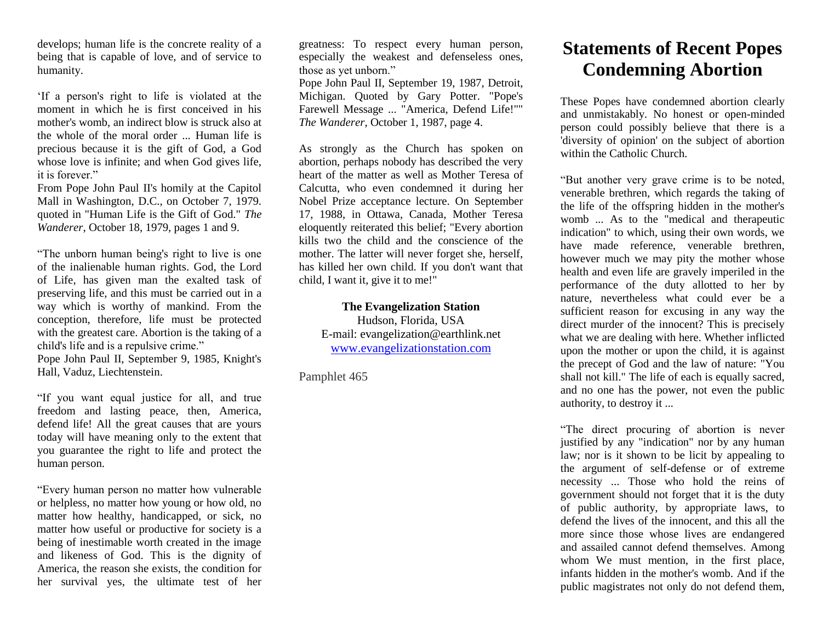develops; human life is the concrete reality of a being that is capable of love, and of service to humanity.

'If a person's right to life is violated at the moment in which he is first conceived in his mother's womb, an indirect blow is struck also at the whole of the moral order ... Human life is precious because it is the gift of God, a God whose love is infinite; and when God gives life, it is forever."

From Pope John Paul II's homily at the Capitol Mall in Washington, D.C., on October 7, 1979. quoted in "Human Life is the Gift of God." *The Wanderer*, October 18, 1979, pages 1 and 9.

"The unborn human being's right to live is one of the inalienable human rights. God, the Lord of Life, has given man the exalted task of preserving life, and this must be carried out in a way which is worthy of mankind. From the conception, therefore, life must be protected with the greatest care. Abortion is the taking of a child's life and is a repulsive crime."

Pope John Paul II, September 9, 1985, Knight's Hall, Vaduz, Liechtenstein.

"If you want equal justice for all, and true freedom and lasting peace, then, America, defend life! All the great causes that are yours today will have meaning only to the extent that you guarantee the right to life and protect the human person.

"Every human person no matter how vulnerable or helpless, no matter how young or how old, no matter how healthy, handicapped, or sick, no matter how useful or productive for society is a being of inestimable worth created in the image and likeness of God. This is the dignity of America, the reason she exists, the condition for her survival yes, the ultimate test of her

greatness: To respect every human person, especially the weakest and defenseless ones, those as yet unborn."

Pope John Paul II, September 19, 1987, Detroit, Michigan. Quoted by Gary Potter. "Pope's Farewell Message ... "America, Defend Life!"" *The Wanderer*, October 1, 1987, page 4.

As strongly as the Church has spoken on abortion, perhaps nobody has described the very heart of the matter as well as Mother Teresa of Calcutta, who even condemned it during her Nobel Prize acceptance lecture. On September 17, 1988, in Ottawa, Canada, Mother Teresa eloquently reiterated this belief; "Every abortion kills two the child and the conscience of the mother. The latter will never forget she, herself, has killed her own child. If you don't want that child, I want it, give it to me!"

**The Evangelization Station** Hudson, Florida, USA E-mail: evangelization@earthlink.net [www.evangelizationstation.com](http://www.pjpiisoe.org/)

Pamphlet 465

## **Statements of Recent Popes Condemning Abortion**

These Popes have condemned abortion clearly and unmistakably. No honest or open-minded person could possibly believe that there is a 'diversity of opinion' on the subject of abortion within the Catholic Church.

"But another very grave crime is to be noted, venerable brethren, which regards the taking of the life of the offspring hidden in the mother's womb ... As to the "medical and therapeutic indication" to which, using their own words, we have made reference, venerable brethren, however much we may pity the mother whose health and even life are gravely imperiled in the performance of the duty allotted to her by nature, nevertheless what could ever be a sufficient reason for excusing in any way the direct murder of the innocent? This is precisely what we are dealing with here. Whether inflicted upon the mother or upon the child, it is against the precept of God and the law of nature: "You shall not kill." The life of each is equally sacred, and no one has the power, not even the public authority, to destroy it ...

"The direct procuring of abortion is never justified by any "indication" nor by any human law; nor is it shown to be licit by appealing to the argument of self-defense or of extreme necessity ... Those who hold the reins of government should not forget that it is the duty of public authority, by appropriate laws, to defend the lives of the innocent, and this all the more since those whose lives are endangered and assailed cannot defend themselves. Among whom We must mention, in the first place, infants hidden in the mother's womb. And if the public magistrates not only do not defend them,